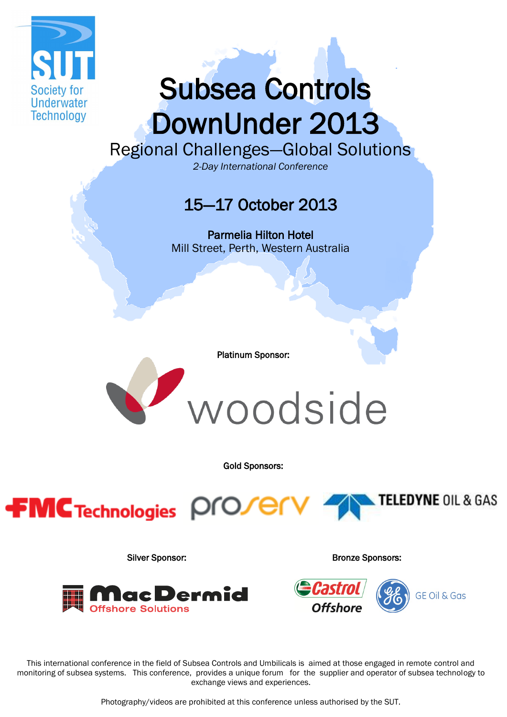

# Subsea Controls DownUnder 2013

Regional Challenges—Global Solutions

*2-Day International Conference*

## 15—17 October 2013

Parmelia Hilton Hotel Mill Street, Perth, Western Australia

Platinum Sponsor:



Gold Sponsors:



Silver Sponsor: Silver Sponsors: Bronze Sponsors:





This international conference in the field of Subsea Controls and Umbilicals is aimed at those engaged in remote control and monitoring of subsea systems. This conference, provides a unique forum for the supplier and operator of subsea technology to exchange views and experiences.

Photography/videos are prohibited at this conference unless authorised by the SUT.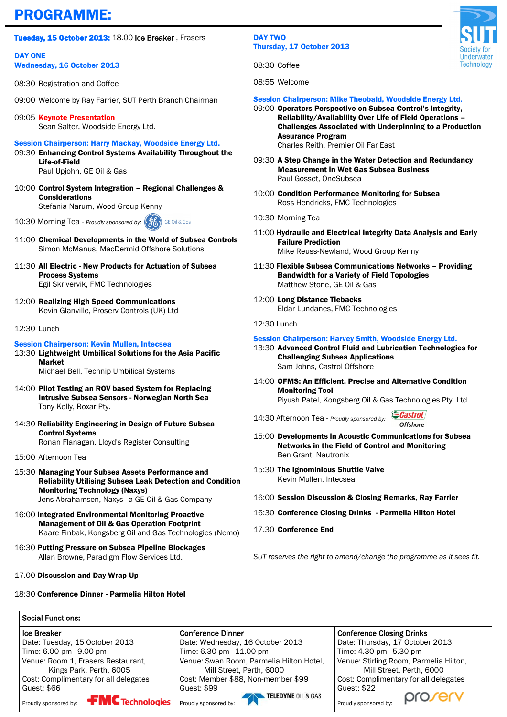### PROGRAMME:

#### Tuesday, 15 October 2013: 18.00 Ice Breaker, Frasers

#### DAY ONE Wednesday, 16 October 2013

08:30 Registration and Coffee

- 09:00 Welcome by Ray Farrier, SUT Perth Branch Chairman
- 09:05 Keynote Presentation Sean Salter, Woodside Energy Ltd.

#### Session Chairperson: Harry Mackay, Woodside Energy Ltd.

09:30 Enhancing Control Systems Availability Throughout the Life-of-Field

Paul Upjohn, GE Oil & Gas

10:00 Control System Integration – Regional Challenges & Considerations Stefania Narum, Wood Group Kenny

10:30 Morning Tea - *Proudly sponsored by:*  GE Oil & Gas

- 
- 11:00 Chemical Developments in the World of Subsea Controls Simon McManus, MacDermid Offshore Solutions
- 11:30 All Electric New Products for Actuation of Subsea Process Systems Egil Skrivervik, FMC Technologies
- 12:00 Realizing High Speed Communications Kevin Glanville, Proserv Controls (UK) Ltd

#### 12:30 Lunch

#### Session Chairperson: Kevin Mullen, Intecsea

- 13:30 Lightweight Umbilical Solutions for the Asia Pacific Market Michael Bell, Technip Umbilical Systems
- 14:00 Pilot Testing an ROV based System for Replacing Intrusive Subsea Sensors - Norwegian North Sea Tony Kelly, Roxar Pty.
- 14:30 Reliability Engineering in Design of Future Subsea Control Systems Ronan Flanagan, Lloyd's Register Consulting
- 15:00 Afternoon Tea
- 15:30 Managing Your Subsea Assets Performance and Reliability Utilising Subsea Leak Detection and Condition Monitoring Technology (Naxys) Jens Abrahamsen, Naxys—a GE Oil & Gas Company
- 16:00 Integrated Environmental Monitoring Proactive Management of Oil & Gas Operation Footprint Kaare Finbak, Kongsberg Oil and Gas Technologies (Nemo)
- 16:30 Putting Pressure on Subsea Pipeline Blockages Allan Browne, Paradigm Flow Services Ltd.

#### 17.00 Discussion and Day Wrap Up

#### 18:30 Conference Dinner - Parmelia Hilton Hotel

#### DAY TWO Thursday, 17 October 2013

08:30 Coffee

08:55 Welcome

#### Session Chairperson: Mike Theobald, Woodside Energy Ltd.

- 09:00 Operators Perspective on Subsea Control's Integrity, Reliability/Availability Over Life of Field Operations – Challenges Associated with Underpinning to a Production Assurance Program Charles Reith, Premier Oil Far East
- 09:30 A Step Change in the Water Detection and Redundancy Measurement in Wet Gas Subsea Business Paul Gosset, OneSubsea
- 10:00 Condition Performance Monitoring for Subsea Ross Hendricks, FMC Technologies
- 10:30 Morning Tea
- 11:00 Hydraulic and Electrical Integrity Data Analysis and Early Failure Prediction Mike Reuss-Newland, Wood Group Kenny
- 11:30 Flexible Subsea Communications Networks Providing Bandwidth for a Variety of Field Topologies Matthew Stone, GE Oil & Gas
- 12:00 Long Distance Tiebacks Eldar Lundanes, FMC Technologies
- 12:30 Lunch

#### Session Chairperson: Harvey Smith, Woodside Energy Ltd.

- 13:30 Advanced Control Fluid and Lubrication Technologies for Challenging Subsea Applications Sam Johns, Castrol Offshore
- 14:00 OFMS: An Efficient, Precise and Alternative Condition Monitoring Tool Piyush Patel, Kongsberg Oil & Gas Technologies Pty. Ltd.

GCastrol 14:30 Afternoon Tea - *Proudly sponsored by:*  Offshore

- 15:00 Developments in Acoustic Communications for Subsea Networks in the Field of Control and Monitoring Ben Grant, Nautronix
- 15:30 The Ignominious Shuttle Valve Kevin Mullen, Intecsea
- 16:00 Session Discussion & Closing Remarks, Ray Farrier
- 16:30 Conference Closing Drinks Parmelia Hilton Hotel
- 17.30 Conference End

*SUT reserves the right to amend/change the programme as it sees fit.* 



Proudly sponsored by:



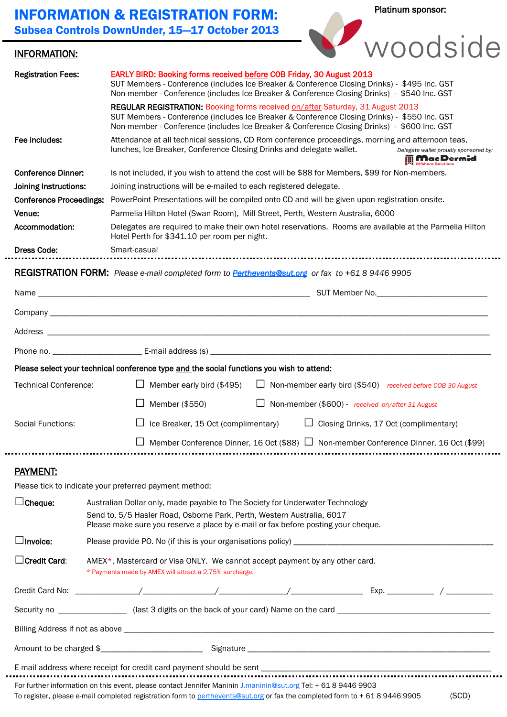### INFORMATION & REGISTRATION FORM: Subsea Controls DownUnder, 15—17 October 2013

Platinum sponsor:

#### INFORMATION:

 $\sim$   $-$ 



|                              | Please select your technical conference type and the social functions you wish to attend:                                                                                                                                                          |
|------------------------------|----------------------------------------------------------------------------------------------------------------------------------------------------------------------------------------------------------------------------------------------------|
| <b>Technical Conference:</b> | Member early bird (\$495)<br>$\Box$ Non-member early bird (\$540) - received before COB 30 August<br>⊔                                                                                                                                             |
|                              | Member (\$550)<br>$\Box$ Non-member (\$600) - received on/after 31 August<br>$\mathsf{L}$                                                                                                                                                          |
| <b>Social Functions:</b>     | ⊔<br>Ice Breaker, 15 Oct (complimentary)<br>Closing Drinks, 17 Oct (complimentary)<br>ப                                                                                                                                                            |
|                              | Member Conference Dinner, 16 Oct (\$88) □ Non-member Conference Dinner, 16 Oct (\$99)                                                                                                                                                              |
| PAYMENT:                     |                                                                                                                                                                                                                                                    |
|                              | Please tick to indicate your preferred payment method:                                                                                                                                                                                             |
| $\Box$ Cheque:               | Australian Dollar only, made payable to The Society for Underwater Technology<br>Send to, 5/5 Hasler Road, Osborne Park, Perth, Western Australia, 6017<br>Please make sure you reserve a place by e-mail or fax before posting your cheque.       |
| $\Box$ Invoice:              |                                                                                                                                                                                                                                                    |
| $\Box$ Credit Card:          | AMEX*, Mastercard or Visa ONLY. We cannot accept payment by any other card.<br>* Payments made by AMEX will attract a 2.75% surcharge.                                                                                                             |
|                              |                                                                                                                                                                                                                                                    |
|                              |                                                                                                                                                                                                                                                    |
|                              |                                                                                                                                                                                                                                                    |
|                              |                                                                                                                                                                                                                                                    |
|                              |                                                                                                                                                                                                                                                    |
|                              | For further information on this event, please contact Jennifer Maninin J.maninin@sut.org Tel: +61894469903<br>(SCD)<br>To register, please e-mail completed registration form to perthevents@sut.org or fax the completed form to + 61 8 9446 9905 |